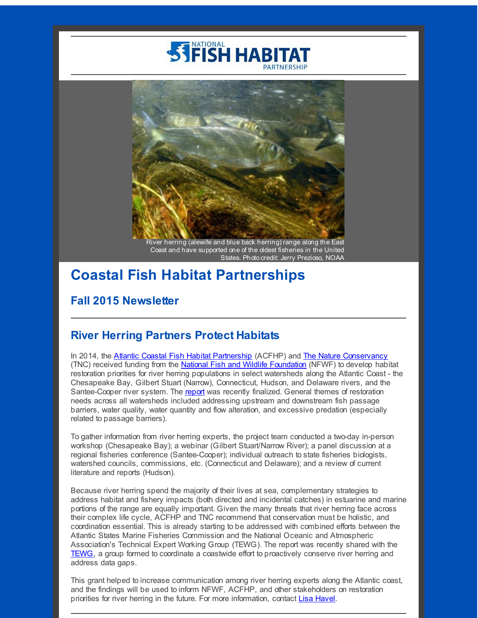# **STIFISH HABITAT**



River herring (alewife and blue back herring) range along the East Coast and have supported one of the oldest fisheries in the United States. Photo credit: Jerry Prezioso, NOAA

# **Coastal Fish Habitat Partnerships**

#### **Fall 2015 Newsletter**

#### **River Herring Partners Protect Habitats**

In 2014, the Atlantic Coastal Fish Habitat [Partnership](http://r20.rs6.net/tn.jsp?f=001Vyq-DWf23kLAPL0nmuktIDhqEZ8uvtSkPr3FtiIVkBzBNZpT-guPg3cGPLpiPjow_lPbzlG0obhANxhIeBJqPUqyCnI-rJfvkB4OkYTEdGvDVi3FXILQrDezkUs3syT6YgY9JOl0qbcWm_JNvKoK-jCZhE0ddPRCUGAbFtInUrrbOOlt-3KciPSjuROqarsU&c=&ch=) (ACFHP) and The Nature [Conservancy](http://r20.rs6.net/tn.jsp?f=001Vyq-DWf23kLAPL0nmuktIDhqEZ8uvtSkPr3FtiIVkBzBNZpT-guPg0Xmo3m8r61pn6ggbmQEV7fYwWd3PC-wkB2XNT2zJ4W_LDqdm2Cd-dZNJcj00hOW7juUY025U6-yVrk6L1VM76Em7a409DxA-OqLoxSyFOqDuC9rCVyyXyw=&c=&ch=) (TNC) received funding from the National Fish and Wildlife [Foundation](http://r20.rs6.net/tn.jsp?f=001Vyq-DWf23kLAPL0nmuktIDhqEZ8uvtSkPr3FtiIVkBzBNZpT-guPg0Xmo3m8r61pmf2tquWwvtWy9ffwraQElKukg0JAeA6K9p_20-sJQlRzBMYDMrRzLGmEsvl8pAdrO7CfwXIloZSpI60rSLkcAw-a1TbaBlU9qT2RvRUcpaMkn7YLMMq4_4tkFaJlWvyK&c=&ch=) (NFWF) to develop habitat restoration priorities for river herring populations in select watersheds along the Atlantic Coast - the Chesapeake Bay, Gilbert Stuart (Narrow), Connecticut, Hudson, and Delaware rivers, and the Santee-Cooper river system. The [report](http://r20.rs6.net/tn.jsp?f=001Vyq-DWf23kLAPL0nmuktIDhqEZ8uvtSkPr3FtiIVkBzBNZpT-guPg0Xmo3m8r61pHLa-geXkDPXYIAta3F3-vHcddsfOhuf015ULwzsydAoCdeKk9Ra1UXkWjQLYXdt44Dssypvsnv4EIyZMiNzgEOvNbT7KIraaAif6DAxF77J1gybYW_ISwWI8gyQVsJoMH3NovJVy2FjUxr0GkTDIuG9LTPN5nk16v3FW4NFEMDxG6XVlLntK7cx8Ic99cJxPsZA5J9bhB_Y=&c=&ch=) was recently finalized. General themes of restoration needs across all watersheds included addressing upstream and downstream fish passage barriers, water quality, water quantity and flow alteration, and excessive predation (especially related to passage barriers).

To gather information from river herring experts, the project team conducted a two-day in-person workshop (Chesapeake Bay); a webinar (Gilbert Stuart/Narrow River); a panel discussion at a regional fisheries conference (Santee-Cooper); individual outreach to state fisheries biologists, watershed councils, commissions, etc. (Connecticut and Delaware); and a review of current literature and reports (Hudson).

Because river herring spend the majority of their lives at sea, complementary strategies to address habitat and fishery impacts (both directed and incidental catches) in estuarine and marine portions of the range are equally important. Given the many threats that river herring face across their complex life cycle, ACFHP and TNC recommend that conservation must be holistic, and coordination essential. This is already starting to be addressed with combined efforts between the Atlantic States Marine Fisheries Commission and the National Oceanic and Atmospheric Association's Technical Expert Working Group (TEWG). The report was recently shared with the [TEWG](http://r20.rs6.net/tn.jsp?f=001Vyq-DWf23kLAPL0nmuktIDhqEZ8uvtSkPr3FtiIVkBzBNZpT-guPg0Xmo3m8r61pxWGT5zvdqv8lhuJmeJCj_DVfUwkf9U63X5JOXfR6oOamLFSWXWSPcSq3aag4n2VLOazCfVYrHwYfSrgX757rh1dTdFdKHdGxq4NIQgsoChjCb3nlVHjPSLaaMECn9g7GWQ4oGaS3MVmmldoO25nuekCprzYHJvG51HhOeWV3BIo9CIsZ6dw_TQ==&c=&ch=), a group formed to coordinate a coastwide effort to proactively conserve river herring and address data gaps.

This grant helped to increase communication among river herring experts along the Atlantic coast, and the findings will be used to inform NFWF, ACFHP, and other stakeholders on restoration priorities for river herring in the future. For more information, contact Lisa [Havel](mailto:LHavel@asmfc.org).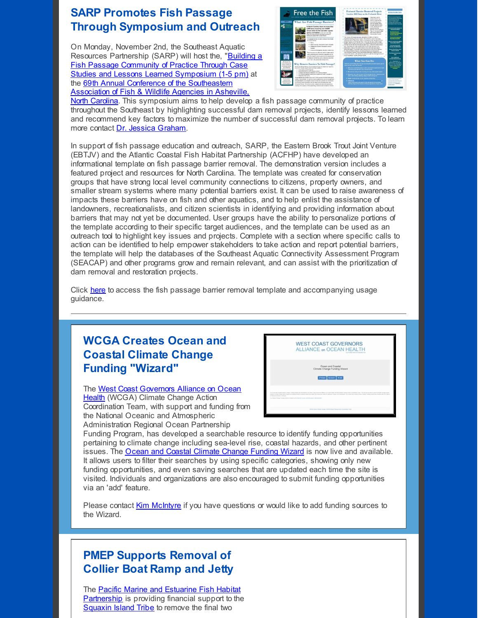#### **SARP Promotes Fish Passage Through Symposium and Outreach**

On Monday, November 2nd, the Southeast Aquatic Resources Partnership (SARP) will host the, "Building a Fish Passage Community of Practice Through Case Studies and Lessons Learned [Symposium](http://r20.rs6.net/tn.jsp?f=001Vyq-DWf23kLAPL0nmuktIDhqEZ8uvtSkPr3FtiIVkBzBNZpT-guPg0Xmo3m8r61pLKq3Xe6MFnm29KfOh2ycY-00cLwbM94x9euSplNZKUwfI5htw_hfmdi_8xBK3f5fssPCJ6mq16FVkKVhWuMikX2_nRjJCyIkcrFddPuTdbP2KnGqgfTiE_W4Hztdv3UFt2aNhIL3q-i74Zgy_oZzLMHQAc1iaMRN&c=&ch=) (1-5 pm) at the 69th Annual Conference of the [Southeastern](http://r20.rs6.net/tn.jsp?f=001Vyq-DWf23kLAPL0nmuktIDhqEZ8uvtSkPr3FtiIVkBzBNZpT-guPg0Xmo3m8r61p-Timkev-E9Ax_ZUXo4WgWERmMkIIkaFv0bKdhQ8rGMtlFWbtU1yQZDKA551njFtpCUntMs-H7Az5xGwkGVw_sRDN3HAktf1KCANXIHc0IHwVYW_XcIWf9h3lnzaYMGLE6cIpQsazi8TSBjwrdwv60A==&c=&ch=) Association of Fish & Wildlife Agencies in Asheville,



North Carolina. This symposium aims to help develop a fish passage community of practice throughout the Southeast by highlighting successful dam removal projects, identify lessons learned and recommend key factors to maximize the number of successful dam removal projects. To learn more contact Dr. Jessica [Graham](mailto:jessica@southeastaquatics.net).

In support of fish passage education and outreach, SARP, the Eastern Brook Trout Joint Venture (EBTJV) and the Atlantic Coastal Fish Habitat Partnership (ACFHP) have developed an informational template on fish passage barrier removal. The demonstration version includes a featured project and resources for North Carolina. The template was created for conservation groups that have strong local level community connections to citizens, property owners, and smaller stream systems where many potential barriers exist. It can be used to raise awareness of impacts these barriers have on fish and other aquatics, and to help enlist the assistance of landowners, recreationalists, and citizen scientists in identifying and providing information about barriers that may not yet be documented. User groups have the ability to personalize portions of the template according to their specific target audiences, and the template can be used as an outreach tool to highlight key issues and projects. Complete with a section where specific calls to action can be identified to help empower stakeholders to take action and report potential barriers, the template will help the databases of the Southeast Aquatic Connectivity Assessment Program (SEACAP) and other programs grow and remain relevant, and can assist with the prioritization of dam removal and restoration projects.

Click [here](http://r20.rs6.net/tn.jsp?f=001Vyq-DWf23kLAPL0nmuktIDhqEZ8uvtSkPr3FtiIVkBzBNZpT-guPg0Xmo3m8r61pLrJUGzm4_2pEg2nKbJiz31gf3rOH-rO_Ry1KkUS22g_sIEaYM3ri4ZtDAVk7LBTfCKTDqqRiNySczpsJSkTctVWhMSfCE_MNQej9Kw64na6njYCwcWz5uLyE3DM2h5FYWQjtqmDGjzr-n5lG8WAkcGK57eHpW8m184872DdT_ixirzFxaZKu9DIkUVHDTMS8CKWHKqcT-LtwSxK9LD9jVL3rKIqSmxn3cotyKq4pkOkeFgeLRVut0knR-28pf-xu1nJNvMpWorBf8X0OxTllDQ==&c=&ch=) to access the fish passage barrier removal template and accompanying usage guidance.

# **WCGA Creates Ocean and Coastal Climate Change Funding "Wizard"**

The West Coast [Governors](http://r20.rs6.net/tn.jsp?f=001Vyq-DWf23kLAPL0nmuktIDhqEZ8uvtSkPr3FtiIVkBzBNZpT-guPg0Xmo3m8r61p7cVjm-e2-g2Ra7pK88Q-TszrHzWaUcM6pz39lcCcFsz3l1_N5NoJljZ2n4KWyVJoEDD9MVxUN9vivnq-PiQloFGfsgvY3mWAoBWhF0j25tQRKExyVWeRRw==&c=&ch=) Alliance on Ocean Health (WCGA) Climate Change Action Coordination Team, with support and funding from the National Oceanic and Atmospheric Administration Regional Ocean Partnership



Funding Program, has developed a searchable resource to identify funding opportunities pertaining to climate change including sea-level rise, coastal hazards, and other pertinent issues. The Ocean and Coastal Climate Change [Funding](http://r20.rs6.net/tn.jsp?f=001Vyq-DWf23kLAPL0nmuktIDhqEZ8uvtSkPr3FtiIVkBzBNZpT-guPg0Xmo3m8r61pqKQOU_26K9XEqkDdULmtIF6qfwWJwSKRwCuDtQzwcz6irm9kFhJ77KMFawhHINdDU07XtBzceyh-RbA7IcNqQEZxE7Oc0kcFhYawK4b-teze9BcL0joDHt8eQjol_s9KY6244ngepBI=&c=&ch=) Wizard is now live and available. It allows users to filter their searches by using specific categories, showing only new funding opportunities, and even saving searches that are updated each time the site is visited. Individuals and organizations are also encouraged to submit funding opportunities via an 'add' feature.

Please contact Kim [McIntyre](mailto:kim@westcoastoceans.org) if you have questions or would like to add funding sources to the Wizard.

## **PMEP Supports Removal of Collier Boat Ramp and Jetty**

The Pacific Marine and Estuarine Fish Habitat [Partnership](http://r20.rs6.net/tn.jsp?f=001Vyq-DWf23kLAPL0nmuktIDhqEZ8uvtSkPr3FtiIVkBzBNZpT-guPg1hajfrs72TNfJte3ixzqvuqExZzoBJuZWtyNK2ivEXy2d4wsIwxNvZQWuX3lpNZokpJDTCRh2BVo5saB6Pf0UcJZPBJho_Y6n0Z7hxwtfb4RS776wERbGlAOn63TMdcbQ==&c=&ch=) is providing financial support to the [Squaxin](http://r20.rs6.net/tn.jsp?f=001Vyq-DWf23kLAPL0nmuktIDhqEZ8uvtSkPr3FtiIVkBzBNZpT-guPg0Xmo3m8r61psn8sxL33y64EHupFxMQdGLdAqCsoUQGh63ZGuXKpP02PGFDaldUVJQKNMFyts-rtRYWvgz9_0bxZTEWwFNDTmyMe2veKer7plj4hVLVZCFw=&c=&ch=) Island Tribe to remove the final two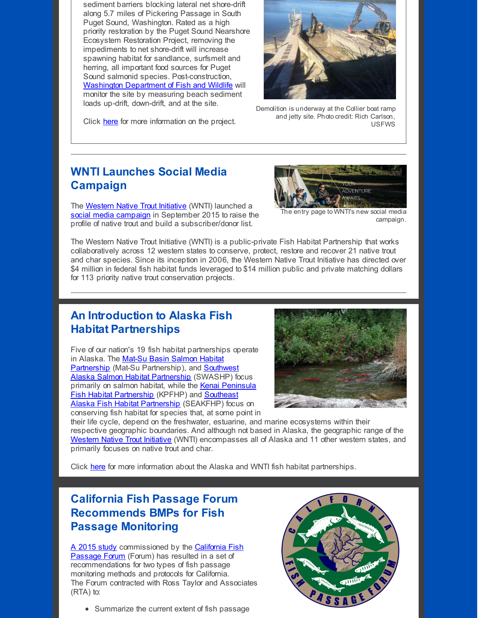sediment barriers blocking lateral net shore-drift along 5.7 miles of Pickering Passage in South Puget Sound, Washington. Rated as a high priority restoration by the Puget Sound Nearshore Ecosystem Restoration Project, removing the impediments to net shore-drift will increase spawning habitat for sandlance, surfsmelt and herring, all important food sources for Puget Sound salmonid species. Post-construction, Washington [Department](http://r20.rs6.net/tn.jsp?f=001Vyq-DWf23kLAPL0nmuktIDhqEZ8uvtSkPr3FtiIVkBzBNZpT-guPg0Xmo3m8r61pHzdpwphI3i-dlg_1d-t_9BKTqpVcY_vFid6mmvPIBrqkm6fYxOGhkgvZqoPMu0iYjYE28Q0NEMXkdYpeN2nPqrB412FNXH1ajwvGyKJk4vM=&c=&ch=) of Fish and Wildlife will monitor the site by measuring beach sediment loads up-drift, down-drift, and at the site.

Click [here](http://r20.rs6.net/tn.jsp?f=001Vyq-DWf23kLAPL0nmuktIDhqEZ8uvtSkPr3FtiIVkBzBNZpT-guPg0Xmo3m8r61pP_7N5P_Krcp4ejVu3Pf2Kq10af1bAeaL9FjQFzuTSOwBeEWCyS71gIKDhXRYaCTUpbeX0SaW4IlG4kmv4JKeks2ISYHbL1KDrwQNOZQRQGFO--v-AW-qTwn5xSz8iQ6lIrocZFa2C5xGrG84caJVMCbuHj-7N-6XaRuWeS6WeqTbZjeWj4McMw==&c=&ch=) for more information on the project.



Demolition is underway at the Collier boat ramp and jetty site. Photo credit: Rich Carlson, USFWS

## **WNTI Launches Social Media Campaign**

The [Western](http://r20.rs6.net/tn.jsp?f=001Vyq-DWf23kLAPL0nmuktIDhqEZ8uvtSkPr3FtiIVkBzBNZpT-guPgyjie37aNy6lhlNa6T_Y-njmZIPNKLfWoLZdEGKUFWE4Zdp4MsGpJejzyBYvpyJhECUyR_TPUtg0tZFKzGz6eZnHL2Xy97cK38J3DJuTByoM5fQ9nyfATHpEcGsrMV7V_QK5lGSO9Bcs&c=&ch=) Native Trout Initiative (WNTI) launched a social media [campaign](http://r20.rs6.net/tn.jsp?f=001Vyq-DWf23kLAPL0nmuktIDhqEZ8uvtSkPr3FtiIVkBzBNZpT-guPg0Xmo3m8r61pnbyCaF50c19z-HVHr5tOANFeXEaq8w4P1oxGSay1Vx9NoVnmHBqyrG6WQMkW0ReZjL1NQ_pVQ5jiP84qWFEJEpD448Nc7SNrMTCOLtJzJE2JgGt8U3K1DwLcajqB-xI5&c=&ch=) in September 2015 to raise the profile of native trout and build a subscriber/donor list.



The entry page to WNTI's new social media campaign.

The Western Native Trout Initiative (WNTI) is a public-private Fish Habitat Partnership that works collaboratively across 12 western states to conserve, protect, restore and recover 21 native trout and char species. Since its inception in 2006, the Western Native Trout Initiative has directed over \$4 million in federal fish habitat funds leveraged to \$14 million public and private matching dollars for 113 priority native trout conservation projects.

#### **An Introduction to Alaska Fish Habitat Partnerships**

Five of our nation's 19 fish habitat partnerships operate in Alaska. The Mat-Su Basin Salmon Habitat Partnership (Mat-Su [Partnership\),](http://r20.rs6.net/tn.jsp?f=001Vyq-DWf23kLAPL0nmuktIDhqEZ8uvtSkPr3FtiIVkBzBNZpT-guPg3cGPLpiPjowHRDtKp3swopXT_dqSWkwepZcFHr8aVBxKDZuUJKXN4Vij72ap_yaygQO2rCvuUiLAZdF6lkO4nk3SZm9sXv9-K7VH1f94gSUeWk8uB4OfEamWyTJq4B5eA==&c=&ch=) and Southwest Alaska Salmon Habitat Partnership (SWASHP) focus primarily on salmon habitat, while the Kenai Peninsula **Fish Habitat [Partnership](http://r20.rs6.net/tn.jsp?f=001Vyq-DWf23kLAPL0nmuktIDhqEZ8uvtSkPr3FtiIVkBzBNZpT-guPg3cGPLpiPjowM04-WCpVSxzko7CzKC0mXw9iXPV53C_rUaLaLgN6xQNOmg4oiOHsGbPu-kDDTCchyIKANSp59yMNwbaV0g3mS29MGrLs1CLnxNig4Rj1rEI=&c=&ch=)** (KPFHP) and **Southeast** Alaska Fish Habitat Partnership (SEAKFHP) focus on conserving fish habitat for species that, at some point in



their life cycle, depend on the freshwater, estuarine, and marine ecosystems within their respective geographic boundaries. And although not based in Alaska, the geographic range of the [Western](http://r20.rs6.net/tn.jsp?f=001Vyq-DWf23kLAPL0nmuktIDhqEZ8uvtSkPr3FtiIVkBzBNZpT-guPgyjie37aNy6lhlNa6T_Y-njmZIPNKLfWoLZdEGKUFWE4Zdp4MsGpJejzyBYvpyJhECUyR_TPUtg0tZFKzGz6eZnHL2Xy97cK38J3DJuTByoM5fQ9nyfATHpEcGsrMV7V_QK5lGSO9Bcs&c=&ch=) Native Trout Initiative (WNTI) encompasses all of Alaska and 11 other western states, and primarily focuses on native trout and char.

Click [here](http://r20.rs6.net/tn.jsp?f=001Vyq-DWf23kLAPL0nmuktIDhqEZ8uvtSkPr3FtiIVkBzBNZpT-guPg0Xmo3m8r61pcPmjQK1B18XOkz7gbHciYmPTYn0pVAufybhQo_QyWR3uBfELnbw5RLKYOSIhcEHjAUnm53LsSpfhdTNonm33M2YXA87ChQv7gAhmHpgGqJVChewZPnsdbODFIGbhqbWXnYmN5OXPhw27dTLMCOi3-NkpcYfsrjq6OQka7slbSbTHMOGlJOkIAkVnobnmXso8L-nRFXKy8cw=&c=&ch=) for more information about the Alaska and WNTI fish habitat partnerships.

# **California Fish Passage Forum Recommends BMPs for Fish Passage Monitoring**

A 2015 [study](http://r20.rs6.net/tn.jsp?f=001Vyq-DWf23kLAPL0nmuktIDhqEZ8uvtSkPr3FtiIVkBzBNZpT-guPg-jmth0FBIslpo14V90f-Uymsnmjj0EF41cLaNpE6bQ39HVN9eoXWNN6fbanwYJvC-be_3sxMljQ-EW7yEaF0M-ODfKSbUUehD1Pz5F181v7SD3nEFHfDmf5YkyyvKEf92ZQrIoniUxZRivi6l-i07myFQAl3pfND400DfsH0IsWEO4WZ1FfmsLPa7gJqrbGfsR0Bh8oyh5goNyf2LLbmL7Xbyq8w7NE6_oVzfmke-nYr02FyqKiD3w=&c=&ch=) [commissioned](http://r20.rs6.net/tn.jsp?f=001Vyq-DWf23kLAPL0nmuktIDhqEZ8uvtSkPr3FtiIVkBzBNZpT-guPg6i87_RcofILmWbn5vtSlRCfQeaUc79dX3Y1Yybk3IBTtNwnFgVxvIwD7r1UTTi-4Wb_3OGOCF8B7-WGdnIxYGsY8oGUe2OCS0tJEFW-UuTvHjUQ6FL4-JAXUj0SUcJPTg==&c=&ch=) by the California Fish Passage Forum (Forum) has resulted in a set of recommendations for two types of fish passage monitoring methods and protocols for California. The Forum contracted with Ross Taylor and Associates (RTA) to:

• Summarize the current extent of fish passage